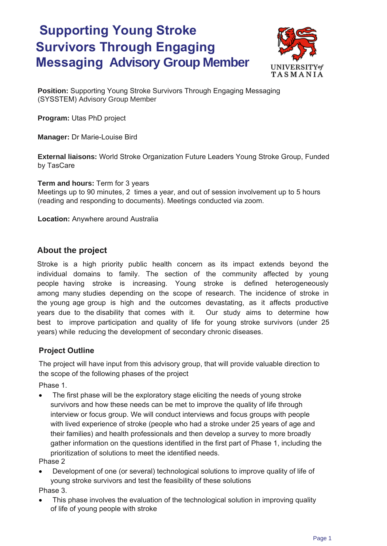# **Supporting Young Stroke Survivors Through Engaging Messaging Advisory Group Member**



**Position:** Supporting Young Stroke Survivors Through Engaging Messaging (SYSSTEM) Advisory Group Member

**Program:** Utas PhD project

**Manager:** Dr Marie-Louise Bird

**External liaisons:** World Stroke Organization Future Leaders Young Stroke Group, Funded by TasCare

**Term and hours:** Term for 3 years

Meetings up to 90 minutes, 2 times a year, and out of session involvement up to 5 hours (reading and responding to documents). Meetings conducted via zoom.

**Location:** Anywhere around Australia

### **About the project**

Stroke is a high priority public health concern as its impact extends beyond the individual domains to family. The section of the community affected by young people having stroke is increasing. Young stroke is defined heterogeneously among many studies depending on the scope of research. The incidence of stroke in the young age group is high and the outcomes devastating, as it affects productive years due to the disability that comes with it. Our study aims to determine how best to improve participation and quality of life for young stroke survivors (under 25 years) while reducing the development of secondary chronic diseases.

### **Project Outline**

The project will have input from this advisory group, that will provide valuable direction to the scope of the following phases of the project

Phase 1.

• The first phase will be the exploratory stage eliciting the needs of young stroke survivors and how these needs can be met to improve the quality of life through interview or focus group. We will conduct interviews and focus groups with people with lived experience of stroke (people who had a stroke under 25 years of age and their families) and health professionals and then develop a survey to more broadly gather information on the questions identified in the first part of Phase 1, including the prioritization of solutions to meet the identified needs.

Phase 2

- Development of one (or several) technological solutions to improve quality of life of young stroke survivors and test the feasibility of these solutions Phase 3.
- This phase involves the evaluation of the technological solution in improving quality of life of young people with stroke